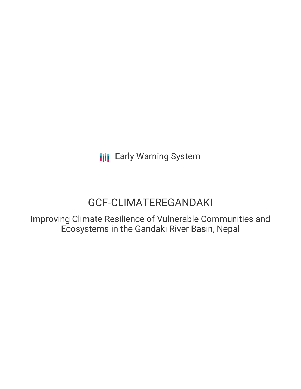# GCF-CLIMATEREGANDAKI

Improving Climate Resilience of Vulnerable Communities and Ecosystems in the Gandaki River Basin, Nepal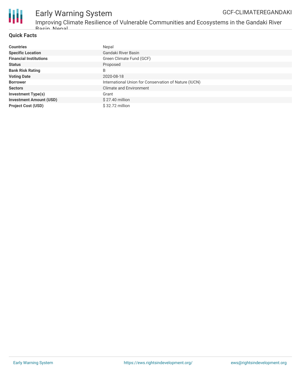

Improving Climate Resilience of Vulnerable Communities and Ecosystems in the Gandaki River Racin, Nonal

### **Quick Facts**

| <b>Countries</b>               | Nepal                                                 |
|--------------------------------|-------------------------------------------------------|
| <b>Specific Location</b>       | Gandaki River Basin                                   |
| <b>Financial Institutions</b>  | Green Climate Fund (GCF)                              |
| <b>Status</b>                  | Proposed                                              |
| <b>Bank Risk Rating</b>        | B                                                     |
| <b>Voting Date</b>             | 2020-08-18                                            |
| <b>Borrower</b>                | International Union for Conservation of Nature (IUCN) |
| <b>Sectors</b>                 | <b>Climate and Environment</b>                        |
| <b>Investment Type(s)</b>      | Grant                                                 |
| <b>Investment Amount (USD)</b> | \$27.40 million                                       |
| <b>Project Cost (USD)</b>      | \$32.72 million                                       |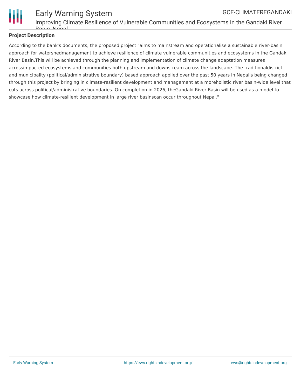

### Early Warning System GCF-CLIMATEREGANDAKI

Improving Climate Resilience of Vulnerable Communities and Ecosystems in the Gandaki River Basin, Nepal

### **Project Description**

According to the bank's documents, the proposed project "aims to mainstream and operationalise a sustainable river-basin approach for watershedmanagement to achieve resilience of climate vulnerable communities and ecosystems in the Gandaki River Basin.This will be achieved through the planning and implementation of climate change adaptation measures acrossimpacted ecosystems and communities both upstream and downstream across the landscape. The traditionaldistrict and municipality (political/administrative boundary) based approach applied over the past 50 years in Nepalis being changed through this project by bringing in climate-resilient development and management at a moreholistic river basin-wide level that cuts across political/administrative boundaries. On completion in 2026, theGandaki River Basin will be used as a model to showcase how climate-resilient development in large river basinscan occur throughout Nepal."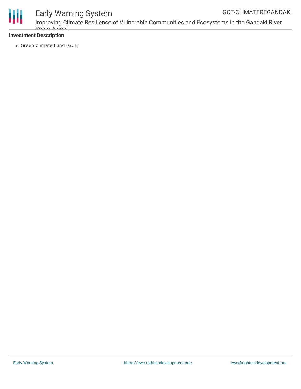

Improving Climate Resilience of Vulnerable Communities and Ecosystems in the Gandaki River Racin, Nonal

### **Investment Description**

• Green Climate Fund (GCF)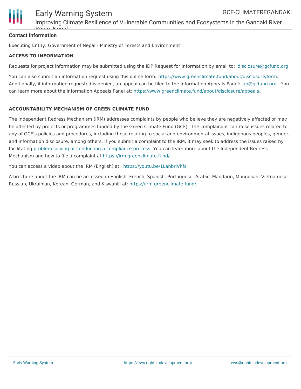

Improving Climate Resilience of Vulnerable Communities and Ecosystems in the Gandaki River Basin, Nepal

### **Contact Information**

Executing Entity: Government of Nepal - Ministry of Forests and Environment

### **ACCESS TO INFORMATION**

Requests for project information may be submitted using the IDP Request for Information by email to: [disclosure@gcfund.org](mailto:disclosure@gcfund.org).

You can also submit an information request using this online form: <https://www.greenclimate.fund/about/disclosure/form>. Additionally, if information requested is denied, an appeal can be filed to the Information Appeals Panel: [iap@gcfund.org](mailto:iap@gcfund.org). You can learn more about the Information Appeals Panel at: <https://www.greenclimate.fund/about/disclosure/appeals>**.**

### **ACCOUNTABILITY MECHANISM OF GREEN CLIMATE FUND**

The Independent Redress Mechanism (IRM) addresses complaints by people who believe they are negatively affected or may be affected by projects or programmes funded by the Green Climate Fund (GCF). The complainant can raise issues related to any of GCF's policies and procedures, including those relating to social and environmental issues, indigenous peoples, gender, and information disclosure, among others. If you submit a complaint to the IRM, it may seek to address the issues raised by facilitating problem solving or conducting a [compliance](https://irm.greenclimate.fund/about-the-irm/how-we-work) process. You can learn more about the Independent Redress Mechanism and how to file a complaint at <https://irm.greenclimate.fund/>.

You can access a video about the IRM (English) at: <https://youtu.be/1LanbriVhfs>.

A brochure about the IRM can be accessed in English, French, Spanish, Portuguese, Arabic, Mandarin, Mongolian, Vietnamese, Russian, Ukrainian, Korean, German, and Kiswahili at: <https://irm.greenclimate.fund/>.